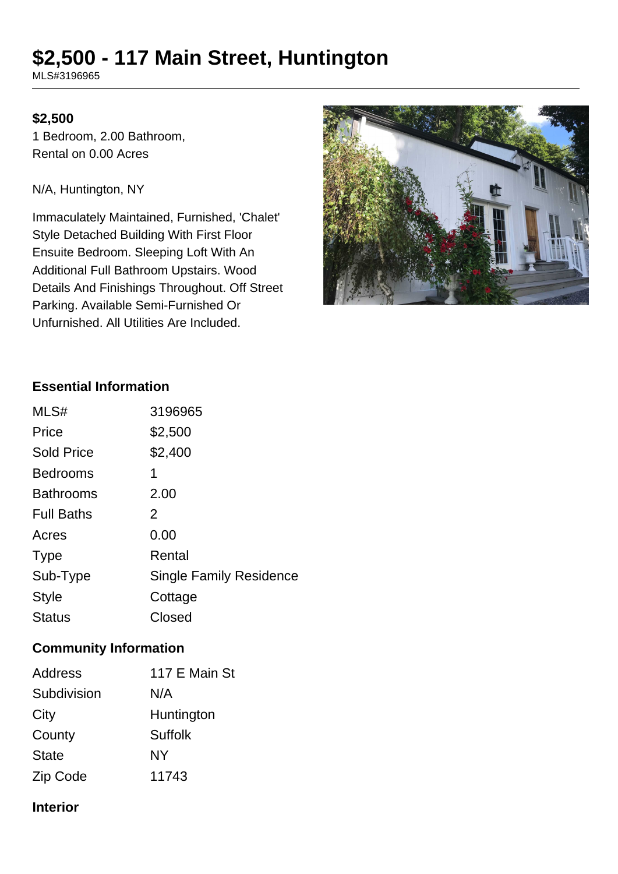# **\$2,500 - 117 Main Street, Huntington**

MLS#3196965

# **\$2,500**

1 Bedroom, 2.00 Bathroom, Rental on 0.00 Acres

N/A, Huntington, NY

Immaculately Maintained, Furnished, 'Chalet' Style Detached Building With First Floor Ensuite Bedroom. Sleeping Loft With An Additional Full Bathroom Upstairs. Wood Details And Finishings Throughout. Off Street Parking. Available Semi-Furnished Or Unfurnished. All Utilities Are Included.



#### **Essential Information**

| MLS#              | 3196965                        |
|-------------------|--------------------------------|
| Price             | \$2,500                        |
| <b>Sold Price</b> | \$2,400                        |
| <b>Bedrooms</b>   | 1                              |
| <b>Bathrooms</b>  | 2.00                           |
| <b>Full Baths</b> | 2                              |
| Acres             | 0.00                           |
| <b>Type</b>       | Rental                         |
| Sub-Type          | <b>Single Family Residence</b> |
| <b>Style</b>      | Cottage                        |
| <b>Status</b>     | Closed                         |

#### **Community Information**

| <b>Address</b> | 117 E Main St  |
|----------------|----------------|
| Subdivision    | N/A            |
| City           | Huntington     |
| County         | <b>Suffolk</b> |
| <b>State</b>   | NY             |
| Zip Code       | 11743          |

#### **Interior**